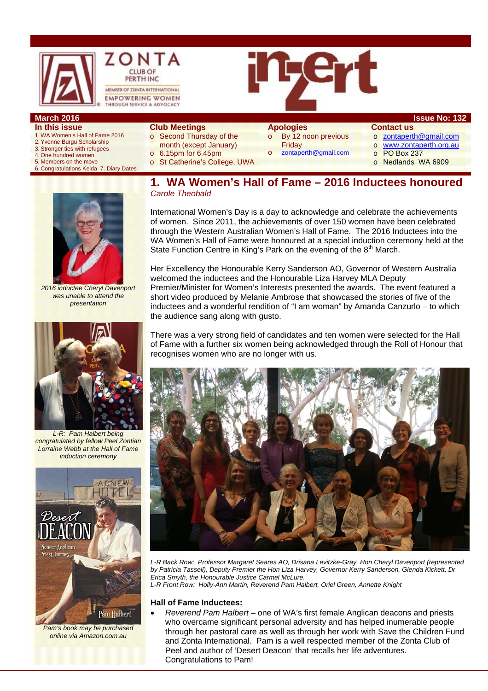

- **In this issue**  1. WA Women's Hall of Fame 2016
- 2. Yvonne Burgu Scholarship
- 3. Stronger ties with refugees
- 4. One hundred women
- 5. Members on the move 6. Congratulations Kelda 7. Diary Dates

### **Club Meetings**

- o Second Thursday of the
	- month (except January)
- o 6.15pm for 6.45pm
- 
- o St Catherine's College, UWA

# **Apologies**

o By 12 noon previous Friday

zontaperth@gmail.com

#### **Contact us**

- o zontaperth@gmail.com
- o www.zontaperth.org.au
	- o PO Box 237
	- o Nedlands WA 6909
- **1. WA Women's Hall of Fame 2016 Inductees honoured**

*2016 inductee Cheryl Davenport was unable to attend the presentation* 



*L-R: Pam Halbert being congratulated by fellow Peel Zontian Lorraine Webb at the Hall of Fame induction ceremony* 



*Pam's book may be purchased online via Amazon.com.au* 

*Carole Theobald* 

International Women's Day is a day to acknowledge and celebrate the achievements of women. Since 2011, the achievements of over 150 women have been celebrated through the Western Australian Women's Hall of Fame. The 2016 Inductees into the WA Women's Hall of Fame were honoured at a special induction ceremony held at the State Function Centre in King's Park on the evening of the  $8<sup>th</sup>$  March.

Her Excellency the Honourable Kerry Sanderson AO, Governor of Western Australia welcomed the inductees and the Honourable Liza Harvey MLA Deputy Premier/Minister for Women's Interests presented the awards. The event featured a short video produced by Melanie Ambrose that showcased the stories of five of the inductees and a wonderful rendition of "I am woman" by Amanda Canzurlo – to which the audience sang along with gusto.

There was a very strong field of candidates and ten women were selected for the Hall of Fame with a further six women being acknowledged through the Roll of Honour that recognises women who are no longer with us.



*L-R Back Row: Professor Margaret Seares AO, Drisana Levitzke-Gray, Hon Cheryl Davenport (represented by Patricia Tassell), Deputy Premier the Hon Liza Harvey, Governor Kerry Sanderson, Glenda Kickett, Dr Erica Smyth, the Honourable Justice Carmel McLure. L-R Front Row: Holly-Ann Martin, Reverend Pam Halbert, Oriel Green, Annette Knight* 

#### **Hall of Fame Inductees:**

 *Reverend Pam Halbert* – one of WA's first female Anglican deacons and priests who overcame significant personal adversity and has helped inumerable people through her pastoral care as well as through her work with Save the Children Fund and Zonta International. Pam is a well respected member of the Zonta Club of Peel and author of 'Desert Deacon' that recalls her life adventures. Congratulations to Pam!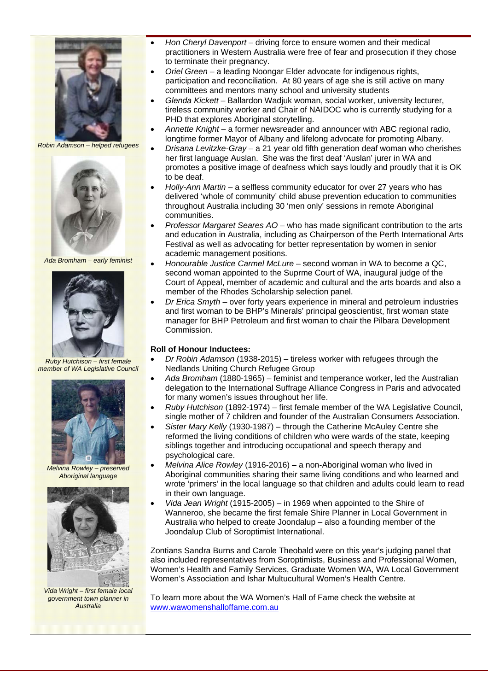

*Robin Adamson – helped refugees* 



*Ada Bromham – early feminist* 



*Ruby Hutchison – first female member of WA Legislative Council* 



*Melvina Rowley – preserved Aboriginal language* 



*Vida Wright – first female local government town planner in Australia* 

- *Hon Cheryl Davenport* driving force to ensure women and their medical practitioners in Western Australia were free of fear and prosecution if they chose to terminate their pregnancy.
- *Oriel Green* a leading Noongar Elder advocate for indigenous rights, participation and reconciliation. At 80 years of age she is still active on many committees and mentors many school and university students
- *Glenda Kickett* Ballardon Wadjuk woman, social worker, university lecturer, tireless community worker and Chair of NAIDOC who is currently studying for a PHD that explores Aboriginal storytelling.
- *Annette Knight* a former newsreader and announcer with ABC regional radio, longtime former Mayor of Albany and lifelong advocate for promoting Albany.
- *Drisana Levitzke-Gray* a 21 year old fifth generation deaf woman who cherishes her first language Auslan. She was the first deaf 'Auslan' jurer in WA and promotes a positive image of deafness which says loudly and proudly that it is OK to be deaf.
- *Holly-Ann Martin* a selfless community educator for over 27 years who has delivered 'whole of community' child abuse prevention education to communities throughout Australia including 30 'men only' sessions in remote Aboriginal communities.
- *Professor Margaret Seares AO* who has made significant contribution to the arts and education in Australia, including as Chairperson of the Perth International Arts Festival as well as advocating for better representation by women in senior academic management positions.
- *Honourable Justice Carmel McLure* second woman in WA to become a QC, second woman appointed to the Suprme Court of WA, inaugural judge of the Court of Appeal, member of academic and cultural and the arts boards and also a member of the Rhodes Scholarship selection panel.
- *Dr Erica Smyth* over forty years experience in mineral and petroleum industries and first woman to be BHP's Minerals' principal geoscientist, first woman state manager for BHP Petroleum and first woman to chair the Pilbara Development Commission.

#### **Roll of Honour Inductees:**

- *Dr Robin Adamson* (1938-2015) tireless worker with refugees through the Nedlands Uniting Church Refugee Group
- *Ada Bromham* (1880-1965) feminist and temperance worker, led the Australian delegation to the International Suffrage Alliance Congress in Paris and advocated for many women's issues throughout her life.
- *Ruby Hutchison* (1892-1974) first female member of the WA Legislative Council, single mother of 7 children and founder of the Australian Consumers Association.
- *Sister Mary Kelly* (1930-1987) through the Catherine McAuley Centre she reformed the living conditions of children who were wards of the state, keeping siblings together and introducing occupational and speech therapy and psychological care.
- *Melvina Alice Rowley* (1916-2016) a non-Aboriginal woman who lived in Aboriginal communities sharing their same living conditions and who learned and wrote 'primers' in the local language so that children and adults could learn to read in their own language.
- *Vida Jean Wright* (1915-2005) in 1969 when appointed to the Shire of Wanneroo, she became the first female Shire Planner in Local Government in Australia who helped to create Joondalup – also a founding member of the Joondalup Club of Soroptimist International.

Zontians Sandra Burns and Carole Theobald were on this year's judging panel that also included representatives from Soroptimists, Business and Professional Women, Women's Health and Family Services, Graduate Women WA, WA Local Government Women's Association and Ishar Multucultural Women's Health Centre.

To learn more about the WA Women's Hall of Fame check the website at www.wawomenshalloffame.com.au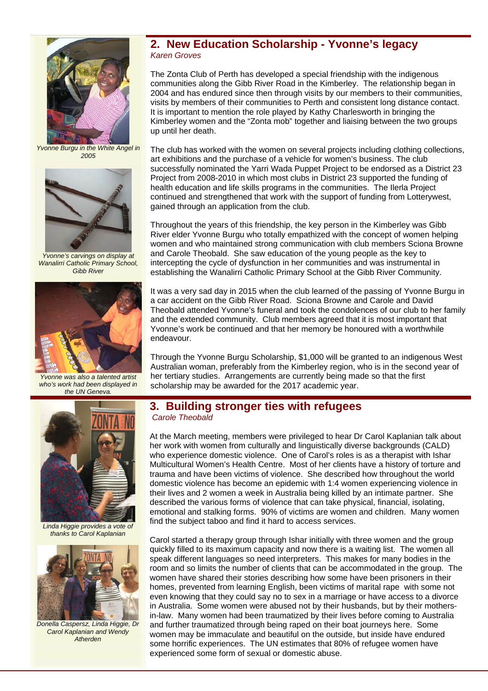

*Yvonne Burgu in the White Angel in 2005* 



*Yvonne's carvings on display at Wanalirri Catholic Primary School, Gibb River* 



*Yvonne was also a talented artist who's work had been displayed in the UN Geneva.* 

*Linda Higgie provides a vote of thanks to Carol Kaplanian* 



*Donella Caspersz, Linda Higgie, Dr Carol Kaplanian and Wendy Atherden* 

## **2. New Education Scholarship - Yvonne's legacy**  *Karen Groves*

The Zonta Club of Perth has developed a special friendship with the indigenous communities along the Gibb River Road in the Kimberley. The relationship began in 2004 and has endured since then through visits by our members to their communities, visits by members of their communities to Perth and consistent long distance contact. It is important to mention the role played by Kathy Charlesworth in bringing the Kimberley women and the "Zonta mob" together and liaising between the two groups up until her death.

The club has worked with the women on several projects including clothing collections, art exhibitions and the purchase of a vehicle for women's business. The club successfully nominated the Yarri Wada Puppet Project to be endorsed as a District 23 Project from 2008-2010 in which most clubs in District 23 supported the funding of health education and life skills programs in the communities. The Ilerla Project continued and strengthened that work with the support of funding from Lotterywest, gained through an application from the club.

Throughout the years of this friendship, the key person in the Kimberley was Gibb River elder Yvonne Burgu who totally empathized with the concept of women helping women and who maintained strong communication with club members Sciona Browne and Carole Theobald. She saw education of the young people as the key to intercepting the cycle of dysfunction in her communities and was instrumental in establishing the Wanalirri Catholic Primary School at the Gibb River Community.

It was a very sad day in 2015 when the club learned of the passing of Yvonne Burgu in a car accident on the Gibb River Road. Sciona Browne and Carole and David Theobald attended Yvonne's funeral and took the condolences of our club to her family and the extended community. Club members agreed that it is most important that Yvonne's work be continued and that her memory be honoured with a worthwhile endeavour.

Through the Yvonne Burgu Scholarship, \$1,000 will be granted to an indigenous West Australian woman, preferably from the Kimberley region, who is in the second year of her tertiary studies. Arrangements are currently being made so that the first scholarship may be awarded for the 2017 academic year.

## **3. Building stronger ties with refugees**  *Carole Theobald*

At the March meeting, members were privileged to hear Dr Carol Kaplanian talk about her work with women from culturally and linguistically diverse backgrounds (CALD) who experience domestic violence. One of Carol's roles is as a therapist with Ishar Multicultural Women's Health Centre. Most of her clients have a history of torture and trauma and have been victims of violence. She described how throughout the world domestic violence has become an epidemic with 1:4 women experiencing violence in their lives and 2 women a week in Australia being killed by an intimate partner. She described the various forms of violence that can take physical, financial, isolating, emotional and stalking forms. 90% of victims are women and children. Many women find the subject taboo and find it hard to access services.

Carol started a therapy group through Ishar initially with three women and the group quickly filled to its maximum capacity and now there is a waiting list. The women all speak different languages so need interpreters. This makes for many bodies in the room and so limits the number of clients that can be accommodated in the group. The women have shared their stories describing how some have been prisoners in their homes, prevented from learning English, been victims of marital rape with some not even knowing that they could say no to sex in a marriage or have access to a divorce in Australia. Some women were abused not by their husbands, but by their mothersin-law. Many women had been traumatized by their lives before coming to Australia and further traumatized through being raped on their boat journeys here. Some women may be immaculate and beautiful on the outside, but inside have endured some horrific experiences. The UN estimates that 80% of refugee women have experienced some form of sexual or domestic abuse.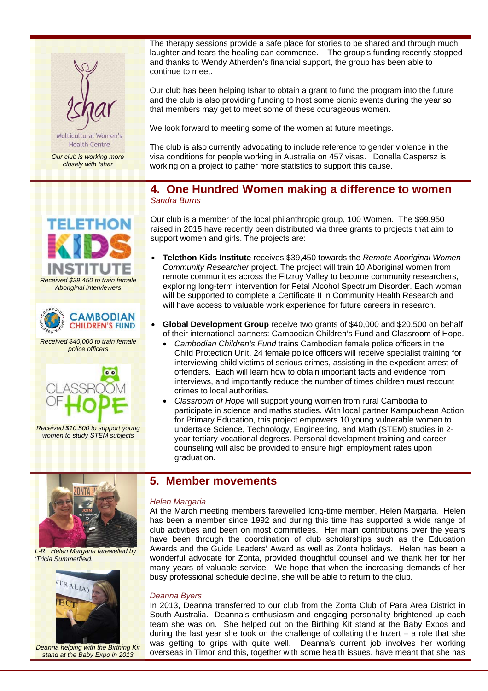

Multicultural Women's **Health Centre** 

*Our club is working more closely with Ishar* 

*Received \$39,450 to train female Aboriginal interviewers* 

ETHO

*Received \$40,000 to train female police officers* 

**AMBODIAN CHILDREN'S FUND** 

 $\bullet$ 

The therapy sessions provide a safe place for stories to be shared and through much laughter and tears the healing can commence. The group's funding recently stopped and thanks to Wendy Atherden's financial support, the group has been able to continue to meet.

Our club has been helping Ishar to obtain a grant to fund the program into the future and the club is also providing funding to host some picnic events during the year so that members may get to meet some of these courageous women.

We look forward to meeting some of the women at future meetings.

The club is also currently advocating to include reference to gender violence in the visa conditions for people working in Australia on 457 visas. Donella Caspersz is working on a project to gather more statistics to support this cause.

## **4. One Hundred Women making a difference to women**  *Sandra Burns*

Our club is a member of the local philanthropic group, 100 Women. The \$99,950 raised in 2015 have recently been distributed via three grants to projects that aim to support women and girls. The projects are:

- **Telethon Kids Institute** receives \$39,450 towards the *Remote Aboriginal Women Community Researcher* project. The project will train 10 Aboriginal women from remote communities across the Fitzroy Valley to become community researchers, exploring long-term intervention for Fetal Alcohol Spectrum Disorder. Each woman will be supported to complete a Certificate II in Community Health Research and will have access to valuable work experience for future careers in research.
- **Global Development Group** receive two grants of \$40,000 and \$20,500 on behalf of their international partners: Cambodian Children's Fund and Classroom of Hope.
	- *Cambodian Children's Fund* trains Cambodian female police officers in the Child Protection Unit. 24 female police officers will receive specialist training for interviewing child victims of serious crimes, assisting in the expedient arrest of offenders. Each will learn how to obtain important facts and evidence from interviews, and importantly reduce the number of times children must recount crimes to local authorities.
	- *Classroom of Hope* will support young women from rural Cambodia to participate in science and maths studies. With local partner Kampuchean Action for Primary Education, this project empowers 10 young vulnerable women to undertake Science, Technology, Engineering, and Math (STEM) studies in 2 year tertiary-vocational degrees. Personal development training and career counseling will also be provided to ensure high employment rates upon graduation.



*Received \$10,500 to support young women to study STEM subjects* 

*L-R: Helen Margaria farewelled by 'Tricia Summerfield.* 



*Deanna helping with the Birthing Kit stand at the Baby Expo in 2013* 

## **5. Member movements**

#### *Helen Margaria*

At the March meeting members farewelled long-time member, Helen Margaria. Helen has been a member since 1992 and during this time has supported a wide range of club activities and been on most committees. Her main contributions over the years have been through the coordination of club scholarships such as the Education Awards and the Guide Leaders' Award as well as Zonta holidays. Helen has been a wonderful advocate for Zonta, provided thoughtful counsel and we thank her for her many years of valuable service. We hope that when the increasing demands of her busy professional schedule decline, she will be able to return to the club.

### *Deanna Byers*

In 2013, Deanna transferred to our club from the Zonta Club of Para Area District in South Australia. Deanna's enthusiasm and engaging personality brightened up each team she was on. She helped out on the Birthing Kit stand at the Baby Expos and during the last year she took on the challenge of collating the Inzert – a role that she was getting to grips with quite well. Deanna's current job involves her working overseas in Timor and this, together with some health issues, have meant that she has